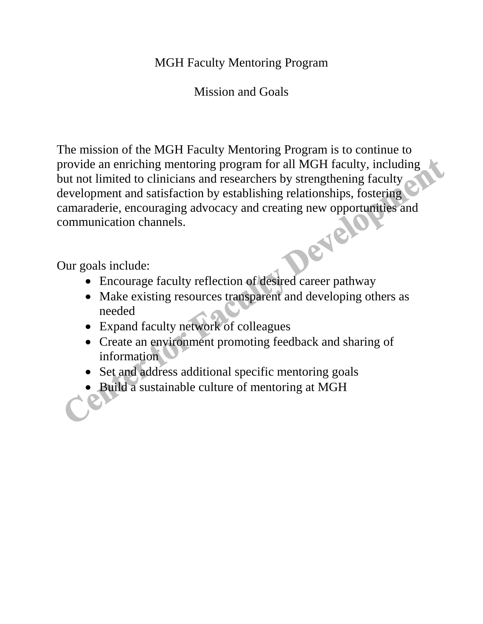## MGH Faculty Mentoring Program

Mission and Goals

The mission of the MGH Faculty Mentoring Program is to continue to provide an enriching mentoring program for all MGH faculty, including but not limited to clinicians and researchers by strengthening faculty development and satisfaction by establishing relationships, fostering camaraderie, encouraging advocacy and creating new opportunities and communication channels.<br>Our goals include: communication channels.

Our goals include:

- Encourage faculty reflection of desired career pathway
- Make existing resources transparent and developing others as needed
- Expand faculty network of colleagues
- Create an environment promoting feedback and sharing of information
- Set and address additional specific mentoring goals
- Build a sustainable culture of mentoring at MGH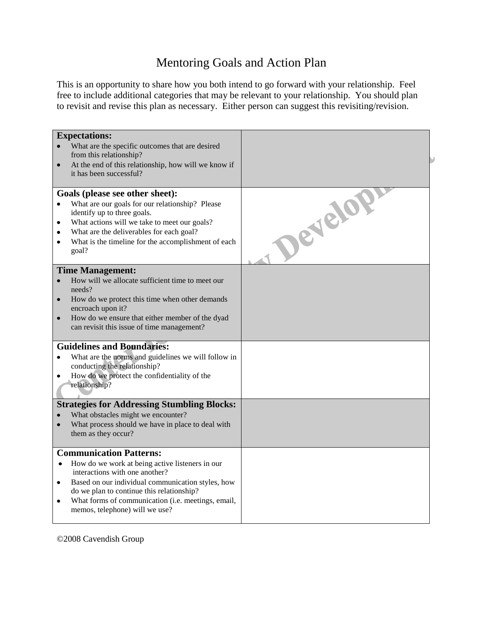## Mentoring Goals and Action Plan

This is an opportunity to share how you both intend to go forward with your relationship. Feel free to include additional categories that may be relevant to your relationship. You should plan to revisit and revise this plan as necessary. Either person can suggest this revisiting/revision.

| <b>Expectations:</b><br>What are the specific outcomes that are desired<br>from this relationship?<br>At the end of this relationship, how will we know if<br>$\bullet$<br>it has been successful?                                                                                                                                                   |         |
|------------------------------------------------------------------------------------------------------------------------------------------------------------------------------------------------------------------------------------------------------------------------------------------------------------------------------------------------------|---------|
| Goals (please see other sheet):<br>What are our goals for our relationship? Please<br>$\bullet$<br>identify up to three goals.<br>What actions will we take to meet our goals?<br>$\bullet$<br>What are the deliverables for each goal?<br>$\bullet$<br>What is the timeline for the accomplishment of each<br>$\bullet$<br>goal?                    | Develop |
| <b>Time Management:</b><br>How will we allocate sufficient time to meet our<br>$\bullet$<br>needs?<br>How do we protect this time when other demands<br>$\bullet$<br>encroach upon it?<br>How do we ensure that either member of the dyad<br>$\bullet$<br>can revisit this issue of time management?                                                 |         |
| <b>Guidelines and Boundaries:</b><br>What are the norms and guidelines we will follow in<br>$\bullet$<br>conducting the relationship?<br>How do we protect the confidentiality of the<br>$\bullet$<br>relationship?                                                                                                                                  |         |
| <b>Strategies for Addressing Stumbling Blocks:</b><br>What obstacles might we encounter?<br>What process should we have in place to deal with<br>$\bullet$<br>them as they occur?                                                                                                                                                                    |         |
| <b>Communication Patterns:</b><br>How do we work at being active listeners in our<br>$\bullet$<br>interactions with one another?<br>Based on our individual communication styles, how<br>$\bullet$<br>do we plan to continue this relationship?<br>What forms of communication (i.e. meetings, email,<br>$\bullet$<br>memos, telephone) will we use? |         |

©2008 Cavendish Group